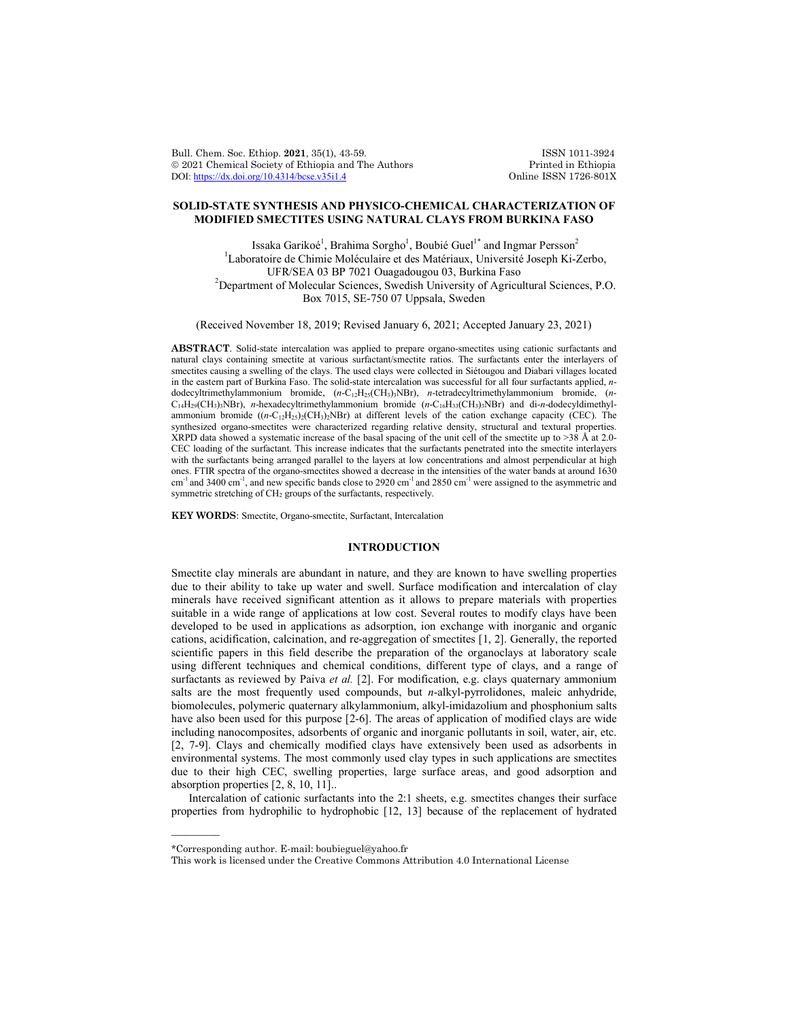Bull. Chem. Soc. Ethiop. 2021, 35(1), 43-59. ISSN 1011-3924<br>
© 2021 Chemical Society of Ethiopia and The Authors Printed in Ethiopia  $\circ$  2021 Chemical Society of Ethiopia and The Authors Printed in Ethiopia DOI: https://dx.doi.org/10.4314/bcse.v35i1.4 Online ISSN 1726-801X DOI:  $\frac{https://dx.doi.org/10.4314/base.v35i1.4}{https://dx.doi.org/10.4314/base.v35i1.4}$ 

# **SOLID-STATE SYNTHESIS AND PHYSICO-CHEMICAL CHARACTERIZATION OF MODIFIED SMECTITES USING NATURAL CLAYS FROM BURKINA FASO**

Issaka Garikoé $^1$ , Brahima Sorgho $^1$ , Boubié Guel $^{1*}$  and Ingmar Persson $^2$ <sup>1</sup>Laboratoire de Chimie Moléculaire et des Matériaux, Université Joseph Ki-Zerbo, UFR/SEA 03 BP 7021 Ouagadougou 03, Burkina Faso <sup>2</sup>  $P^2$ Department of Molecular Sciences, Swedish University of Agricultural Sciences, P.O. Box 7015, SE-750 07 Uppsala, Sweden

(Received November 18, 2019; Revised January 6, 2021; Accepted January 23, 2021)

**ABSTRACT**. Solid-state intercalation was applied to prepare organo-smectites using cationic surfactants and natural clays containing smectite at various surfactant/smectite ratios. The surfactants enter the interlayers of smectites causing a swelling of the clays. The used clays were collected in Siétougou and Diabari villages located in the eastern part of Burkina Faso. The solid-state intercalation was successful for all four surfactants applied, *n*dodecyltrimethylammonium bromide, (*n*-C12H25(CH3)3NBr), *n*-tetradecyltrimethylammonium bromide, (*n*-C14H29(CH3)3NBr), *n*-hexadecyltrimethylammonium bromide (*n*-C16H33(CH3)3NBr) and di-*n*-dodecyldimethylammonium bromide  $((n-C_{12}H_{25})_2(CH_3)_2NBr)$  at different levels of the cation exchange capacity (CEC). The synthesized organo-smectites were characterized regarding relative density, structural and textural properties. XRPD data showed a systematic increase of the basal spacing of the unit cell of the smectite up to >38 Å at 2.0- CEC loading of the surfactant. This increase indicates that the surfactants penetrated into the smectite interlayers with the surfactants being arranged parallel to the layers at low concentrations and almost perpendicular at high ones. FTIR spectra of the organo-smectites showed a decrease in the intensities of the water bands at around 1630 cm<sup>-1</sup> and 3400 cm<sup>-1</sup>, and new specific bands close to 2920 cm<sup>-1</sup> and 2850 cm<sup>-1</sup> were assigned to the asymmetric and symmetric stretching of  $CH<sub>2</sub>$  groups of the surfactants, respectively.

**KEY WORDS**: Smectite, Organo-smectite, Surfactant, Intercalation

#### **INTRODUCTION**

Smectite clay minerals are abundant in nature, and they are known to have swelling properties due to their ability to take up water and swell. Surface modification and intercalation of clay minerals have received significant attention as it allows to prepare materials with properties suitable in a wide range of applications at low cost. Several routes to modify clays have been developed to be used in applications as adsorption, ion exchange with inorganic and organic cations, acidification, calcination, and re-aggregation of smectites [1, 2]. Generally, the reported scientific papers in this field describe the preparation of the organoclays at laboratory scale using different techniques and chemical conditions, different type of clays, and a range of surfactants as reviewed by Paiva *et al.* [2]. For modification, e.g. clays quaternary ammonium salts are the most frequently used compounds, but *n*-alkyl-pyrrolidones, maleic anhydride, biomolecules, polymeric quaternary alkylammonium, alkyl-imidazolium and phosphonium salts have also been used for this purpose [2-6]. The areas of application of modified clays are wide including nanocomposites, adsorbents of organic and inorganic pollutants in soil, water, air, etc. [2, 7-9]. Clays and chemically modified clays have extensively been used as adsorbents in environmental systems. The most commonly used clay types in such applications are smectites due to their high CEC, swelling properties, large surface areas, and good adsorption and absorption properties [2, 8, 10, 11]..

Intercalation of cationic surfactants into the 2:1 sheets, e.g. smectites changes their surface properties from hydrophilic to hydrophobic [12, 13] because of the replacement of hydrated

 $\overline{\phantom{a}}$ 

<sup>\*</sup>Corresponding author. E-mail: boubieguel@yahoo.fr

This work is licensed under the Creative Commons Attribution 4.0 International License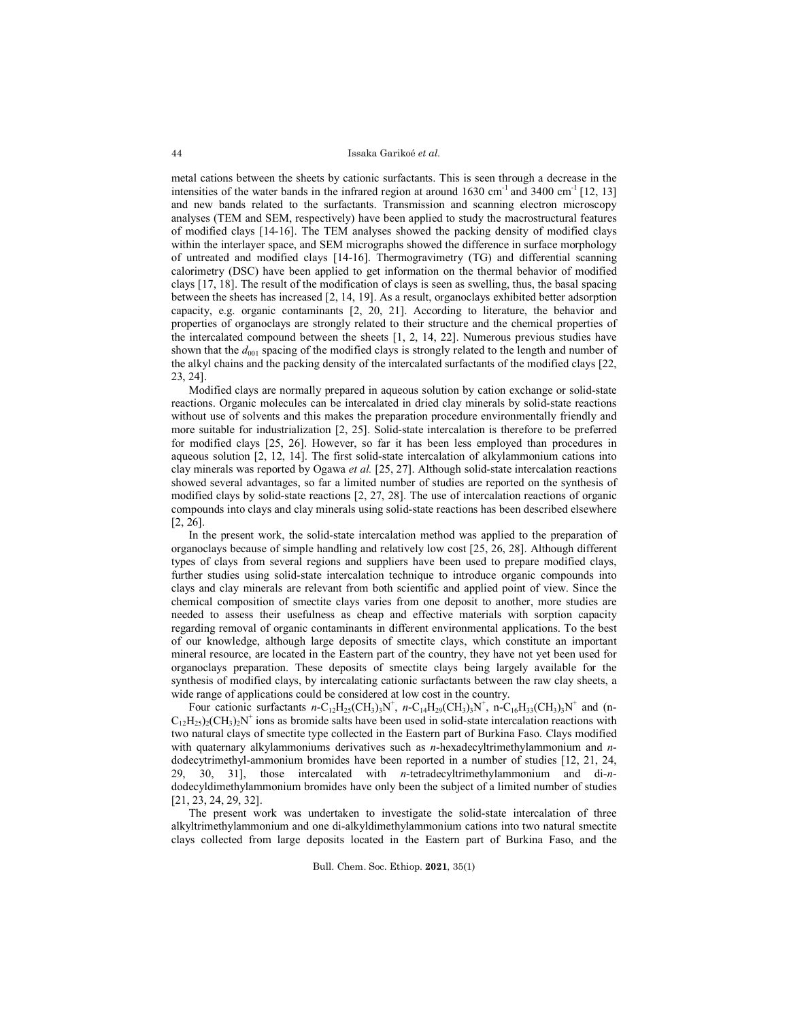metal cations between the sheets by cationic surfactants. This is seen through a decrease in the intensities of the water bands in the infrared region at around  $1630 \text{ cm}^{-1}$  and  $3400 \text{ cm}^{-1}$  [12, 13] and new bands related to the surfactants. Transmission and scanning electron microscopy analyses (TEM and SEM, respectively) have been applied to study the macrostructural features of modified clays [14-16]. The TEM analyses showed the packing density of modified clays within the interlayer space, and SEM micrographs showed the difference in surface morphology of untreated and modified clays [14-16]. Thermogravimetry (TG) and differential scanning calorimetry (DSC) have been applied to get information on the thermal behavior of modified clays [17, 18]. The result of the modification of clays is seen as swelling, thus, the basal spacing between the sheets has increased [2, 14, 19]. As a result, organoclays exhibited better adsorption capacity, e.g. organic contaminants [2, 20, 21]. According to literature, the behavior and properties of organoclays are strongly related to their structure and the chemical properties of the intercalated compound between the sheets [1, 2, 14, 22]. Numerous previous studies have shown that the  $d_{001}$  spacing of the modified clays is strongly related to the length and number of the alkyl chains and the packing density of the intercalated surfactants of the modified clays [22, 23, 24].

Modified clays are normally prepared in aqueous solution by cation exchange or solid-state reactions. Organic molecules can be intercalated in dried clay minerals by solid-state reactions without use of solvents and this makes the preparation procedure environmentally friendly and more suitable for industrialization [2, 25]. Solid-state intercalation is therefore to be preferred for modified clays [25, 26]. However, so far it has been less employed than procedures in aqueous solution [2, 12, 14]. The first solid-state intercalation of alkylammonium cations into clay minerals was reported by Ogawa *et al.* [25, 27]. Although solid-state intercalation reactions showed several advantages, so far a limited number of studies are reported on the synthesis of modified clays by solid-state reactions [2, 27, 28]. The use of intercalation reactions of organic compounds into clays and clay minerals using solid-state reactions has been described elsewhere [2, 26].

In the present work, the solid-state intercalation method was applied to the preparation of organoclays because of simple handling and relatively low cost [25, 26, 28]. Although different types of clays from several regions and suppliers have been used to prepare modified clays, further studies using solid-state intercalation technique to introduce organic compounds into clays and clay minerals are relevant from both scientific and applied point of view. Since the chemical composition of smectite clays varies from one deposit to another, more studies are needed to assess their usefulness as cheap and effective materials with sorption capacity regarding removal of organic contaminants in different environmental applications. To the best of our knowledge, although large deposits of smectite clays, which constitute an important mineral resource, are located in the Eastern part of the country, they have not yet been used for organoclays preparation. These deposits of smectite clays being largely available for the synthesis of modified clays, by intercalating cationic surfactants between the raw clay sheets, a wide range of applications could be considered at low cost in the country.

Four cationic surfactants  $n-C_{12}H_{25}(CH_3)_3N^+$ ,  $n-C_{14}H_{29}(CH_3)_3N^+$ ,  $n-C_{16}H_{33}(CH_3)_3N^+$  and (n- $C_{12}H_{25}$ )<sub>2</sub>(CH<sub>3</sub>)<sub>2</sub>N<sup>+</sup> ions as bromide salts have been used in solid-state intercalation reactions with two natural clays of smectite type collected in the Eastern part of Burkina Faso. Clays modified with quaternary alkylammoniums derivatives such as *n*-hexadecyltrimethylammonium and *n*dodecytrimethyl-ammonium bromides have been reported in a number of studies [12, 21, 24, 29, 30, 31], those intercalated with *n*-tetradecyltrimethylammonium and di-*n*dodecyldimethylammonium bromides have only been the subject of a limited number of studies [21, 23, 24, 29, 32].

The present work was undertaken to investigate the solid-state intercalation of three alkyltrimethylammonium and one di-alkyldimethylammonium cations into two natural smectite clays collected from large deposits located in the Eastern part of Burkina Faso, and the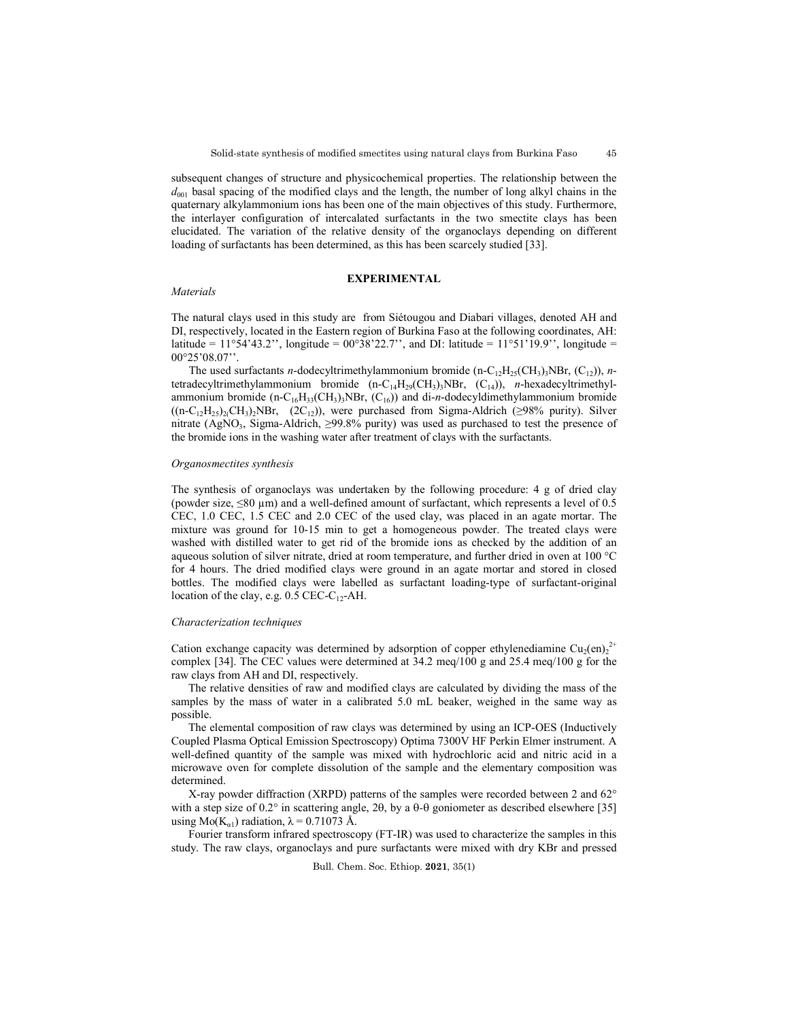subsequent changes of structure and physicochemical properties. The relationship between the  $d_{001}$  basal spacing of the modified clays and the length, the number of long alkyl chains in the quaternary alkylammonium ions has been one of the main objectives of this study. Furthermore, the interlayer configuration of intercalated surfactants in the two smectite clays has been elucidated. The variation of the relative density of the organoclays depending on different loading of surfactants has been determined, as this has been scarcely studied [33].

### **EXPERIMENTAL**

### *Materials*

The natural clays used in this study are from Siétougou and Diabari villages, denoted AH and DI, respectively, located in the Eastern region of Burkina Faso at the following coordinates, AH: latitude = 11°54'43.2'', longitude =  $00^{\circ}38'22.7'$ ', and DI: latitude =  $11^{\circ}51'19.9'$ ', longitude = 00°25'08.07''.

The used surfactants *n*-dodecyltrimethylammonium bromide (n-C<sub>12</sub>H<sub>25</sub>(CH<sub>3</sub>)<sub>3</sub>NBr, (C<sub>12</sub>)), *n*tetradecyltrimethylammonium bromide  $(n-C_{14}H_{29}(CH_3)_3NBr, (C_{14}))$ , *n*-hexadecyltrimethylammonium bromide  $(n-C_{16}H_{33}(CH_3)_3NBr, (C_{16})$  and di-*n*-dodecyldimethylammonium bromide  $((n-C_{12}H_{25})_{2}(CH_{3})_{2}NBr, (2C_{12}))$ , were purchased from Sigma-Aldrich (≥98% purity). Silver nitrate (AgNO<sub>3</sub>, Sigma-Aldrich,  $\geq$ 99.8% purity) was used as purchased to test the presence of the bromide ions in the washing water after treatment of clays with the surfactants.

#### *Organosmectites synthesis*

The synthesis of organoclays was undertaken by the following procedure: 4 g of dried clay (powder size,  $\leq 80 \text{ }\mu\text{m}$ ) and a well-defined amount of surfactant, which represents a level of 0.5 CEC, 1.0 CEC, 1.5 CEC and 2.0 CEC of the used clay, was placed in an agate mortar. The mixture was ground for 10-15 min to get a homogeneous powder. The treated clays were washed with distilled water to get rid of the bromide ions as checked by the addition of an aqueous solution of silver nitrate, dried at room temperature, and further dried in oven at 100 °C for 4 hours. The dried modified clays were ground in an agate mortar and stored in closed bottles. The modified clays were labelled as surfactant loading-type of surfactant-original location of the clay, e.g.  $0.5$  CEC-C<sub>12</sub>-AH.

# *Characterization techniques*

Cation exchange capacity was determined by adsorption of copper ethylenediamine Cu<sub>2</sub>(en)<sub>2</sub><sup>2+</sup> complex [34]. The CEC values were determined at 34.2 meq/100 g and 25.4 meq/100 g for the raw clays from AH and DI, respectively.

The relative densities of raw and modified clays are calculated by dividing the mass of the samples by the mass of water in a calibrated 5.0 mL beaker, weighed in the same way as possible.

The elemental composition of raw clays was determined by using an ICP-OES (Inductively Coupled Plasma Optical Emission Spectroscopy) Optima 7300V HF Perkin Elmer instrument. A well-defined quantity of the sample was mixed with hydrochloric acid and nitric acid in a microwave oven for complete dissolution of the sample and the elementary composition was determined.

X-ray powder diffraction (XRPD) patterns of the samples were recorded between 2 and 62° with a step size of  $0.2^{\circ}$  in scattering angle, 2 $\theta$ , by a  $\theta$ - $\theta$  goniometer as described elsewhere [35] using Mo( $K_{\alpha 1}$ ) radiation,  $\lambda = 0.71073$  Å.

Fourier transform infrared spectroscopy (FT-IR) was used to characterize the samples in this study. The raw clays, organoclays and pure surfactants were mixed with dry KBr and pressed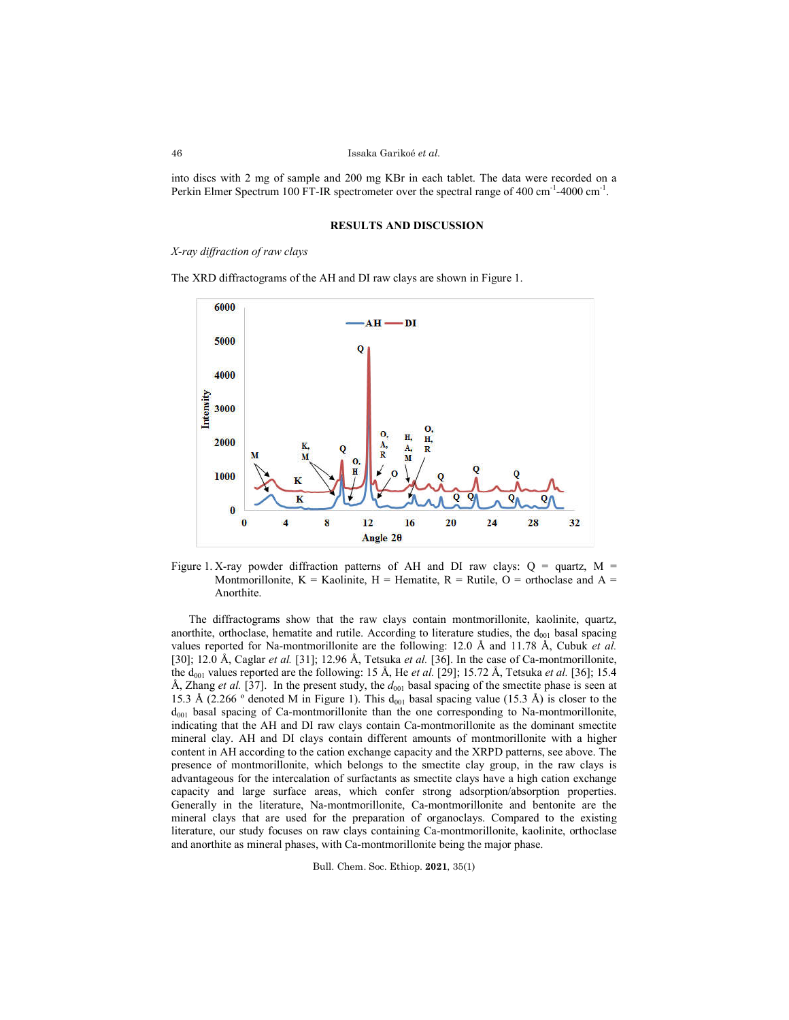## Issaka Garikoé *et al*.

into discs with 2 mg of sample and 200 mg KBr in each tablet. The data were recorded on a Perkin Elmer Spectrum 100 FT-IR spectrometer over the spectral range of 400 cm<sup>-1</sup>-4000 cm<sup>-1</sup>.

## **RESULTS AND DISCUSSION**

*X-ray diffraction of raw clays* 

The XRD diffractograms of the AH and DI raw clays are shown in Figure 1.



Figure 1. X-ray powder diffraction patterns of AH and DI raw clays:  $Q =$  quartz, M = Montmorillonite,  $K =$  Kaolinite,  $H =$  Hematite,  $R =$  Rutile,  $O =$  orthoclase and  $A =$ Anorthite.

The diffractograms show that the raw clays contain montmorillonite, kaolinite, quartz, anorthite, orthoclase, hematite and rutile. According to literature studies, the  $d_{001}$  basal spacing values reported for Na-montmorillonite are the following: 12.0 Å and 11.78 Å, Cubuk *et al.* [30]; 12.0 Å, Caglar *et al.* [31]; 12.96 Å, Tetsuka *et al.* [36]. In the case of Ca-montmorillonite, the  $d_{001}$  values reported are the following: 15 Å, He *et al.* [29]; 15.72 Å, Tetsuka *et al.* [36]; 15.4 Å, Zhang et al. [37]. In the present study, the  $d_{001}$  basal spacing of the smectite phase is seen at 15.3 Å (2.266  $\degree$  denoted M in Figure 1). This d<sub>001</sub> basal spacing value (15.3 Å) is closer to the  $d_{001}$  basal spacing of Ca-montmorillonite than the one corresponding to Na-montmorillonite, indicating that the AH and DI raw clays contain Ca-montmorillonite as the dominant smectite mineral clay. AH and DI clays contain different amounts of montmorillonite with a higher content in AH according to the cation exchange capacity and the XRPD patterns, see above. The presence of montmorillonite, which belongs to the smectite clay group, in the raw clays is advantageous for the intercalation of surfactants as smectite clays have a high cation exchange capacity and large surface areas, which confer strong adsorption/absorption properties. Generally in the literature, Na-montmorillonite, Ca-montmorillonite and bentonite are the mineral clays that are used for the preparation of organoclays. Compared to the existing literature, our study focuses on raw clays containing Ca-montmorillonite, kaolinite, orthoclase and anorthite as mineral phases, with Ca-montmorillonite being the major phase.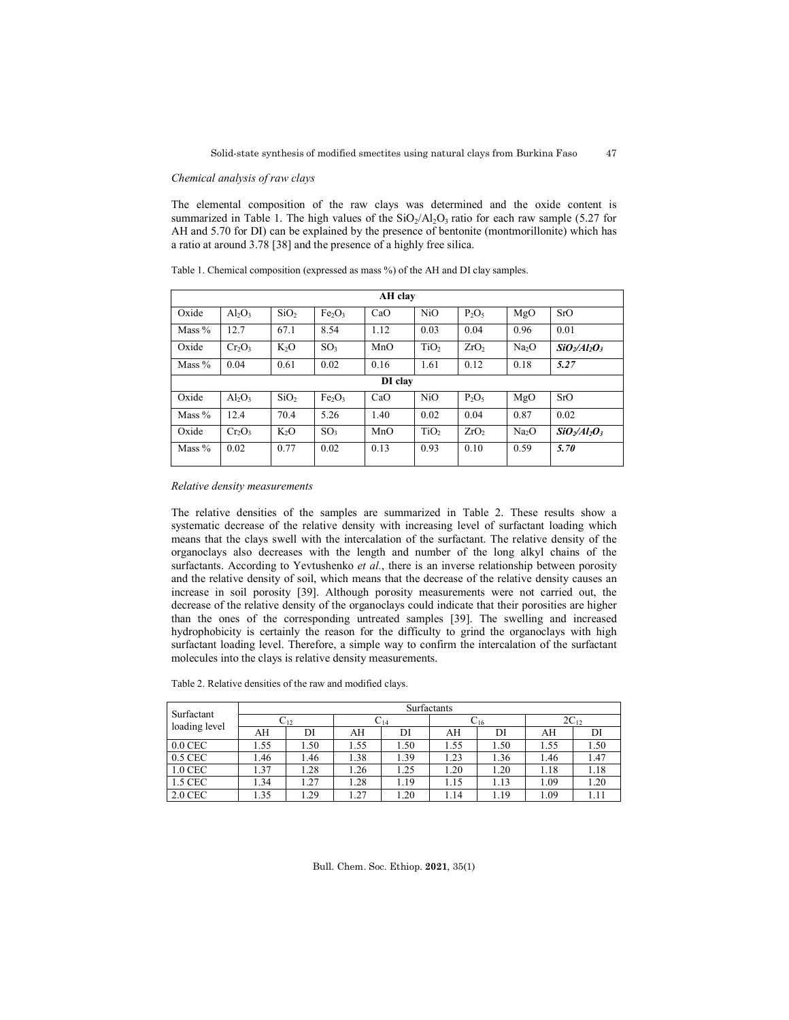47

### *Chemical analysis of raw clays*

The elemental composition of the raw clays was determined and the oxide content is summarized in Table 1. The high values of the  $SiO<sub>2</sub>/Al<sub>2</sub>O<sub>3</sub>$  ratio for each raw sample (5.27 for AH and 5.70 for DI) can be explained by the presence of bentonite (montmorillonite) which has a ratio at around 3.78 [38] and the presence of a highly free silica.

| Table 1. Chemical composition (expressed as mass %) of the AH and DI clay samples. |  |  |  |
|------------------------------------------------------------------------------------|--|--|--|
|------------------------------------------------------------------------------------|--|--|--|

| AH clay  |           |                  |                                |         |                  |                  |                   |                 |
|----------|-----------|------------------|--------------------------------|---------|------------------|------------------|-------------------|-----------------|
| Oxide    | $Al_2O_3$ | SiO <sub>2</sub> | Fe <sub>2</sub> O <sub>3</sub> | CaO     | N <sub>i</sub> O | $P_2O_5$         | MgO               | SrO             |
| Mass $%$ | 12.7      | 67.1             | 8.54                           | 1.12    | 0.03             | 0.04             | 0.96              | 0.01            |
| Oxide    | $Cr_2O_3$ | $K_2O$           | SO <sub>3</sub>                | MnO     | TiO <sub>2</sub> | ZrO <sub>2</sub> | Na <sub>2</sub> O | $SiO_2/Al_2O_3$ |
| Mass $%$ | 0.04      | 0.61             | 0.02                           | 0.16    | 1.61             | 0.12             | 0.18              | 5.27            |
|          |           |                  |                                | DI clay |                  |                  |                   |                 |
| Oxide    | $Al_2O_3$ | SiO <sub>2</sub> | Fe <sub>2</sub> O <sub>3</sub> | CaO     | NiO              | $P_2O_5$         | MgO               | SrO             |
| Mass $%$ | 12.4      | 70.4             | 5.26                           | 1.40    | 0.02             | 0.04             | 0.87              | 0.02            |
| Oxide    | $Cr_2O_3$ | $K_2O$           | SO <sub>3</sub>                | MnO     | TiO <sub>2</sub> | ZrO <sub>2</sub> | Na <sub>2</sub> O | $SiO2/Al2O3$    |
| Mass $%$ | 0.02      | 0.77             | 0.02                           | 0.13    | 0.93             | 0.10             | 0.59              | 5.70            |

*Relative density measurements*

The relative densities of the samples are summarized in Table 2. These results show a systematic decrease of the relative density with increasing level of surfactant loading which means that the clays swell with the intercalation of the surfactant. The relative density of the organoclays also decreases with the length and number of the long alkyl chains of the surfactants. According to Yevtushenko *et al.*, there is an inverse relationship between porosity and the relative density of soil, which means that the decrease of the relative density causes an increase in soil porosity [39]. Although porosity measurements were not carried out, the decrease of the relative density of the organoclays could indicate that their porosities are higher than the ones of the corresponding untreated samples [39]. The swelling and increased hydrophobicity is certainly the reason for the difficulty to grind the organoclays with high surfactant loading level. Therefore, a simple way to confirm the intercalation of the surfactant molecules into the clays is relative density measurements.

| Table 2. Relative densities of the raw and modified clavs. |  |  |  |  |
|------------------------------------------------------------|--|--|--|--|
|------------------------------------------------------------|--|--|--|--|

| Surfactant<br>loading level | Surfactants |     |                   |      |                   |      |           |      |
|-----------------------------|-------------|-----|-------------------|------|-------------------|------|-----------|------|
|                             | $C_{12}$    |     | $\mathrm{C}_{14}$ |      | $\mathrm{C_{16}}$ |      | $2C_{12}$ |      |
|                             | AH          | DI  | AH                | DI   | AH                | DI   | AH        | DI   |
| $0.0$ CEC                   | l.55        | .50 | 1.55              | .50  | 1.55              | 1.50 | 1.55      | 1.50 |
| $0.5$ CEC                   | .46         | .46 | 1.38              | 1.39 | 1.23              | 1.36 | 1.46      | 1.47 |
| 1.0 CEC                     | 1.37        | .28 | 1.26              | 1.25 | 1.20              | 1.20 | 1.18      | 1.18 |
| 1.5 CEC                     | 1.34        | 27  | 1.28              | 1.19 | 1.15              | 1.13 | 1.09      | 1.20 |
| 2.0 CEC                     | .35         | .29 | .27               | .20  | 1.14              | 1.19 | 1.09      |      |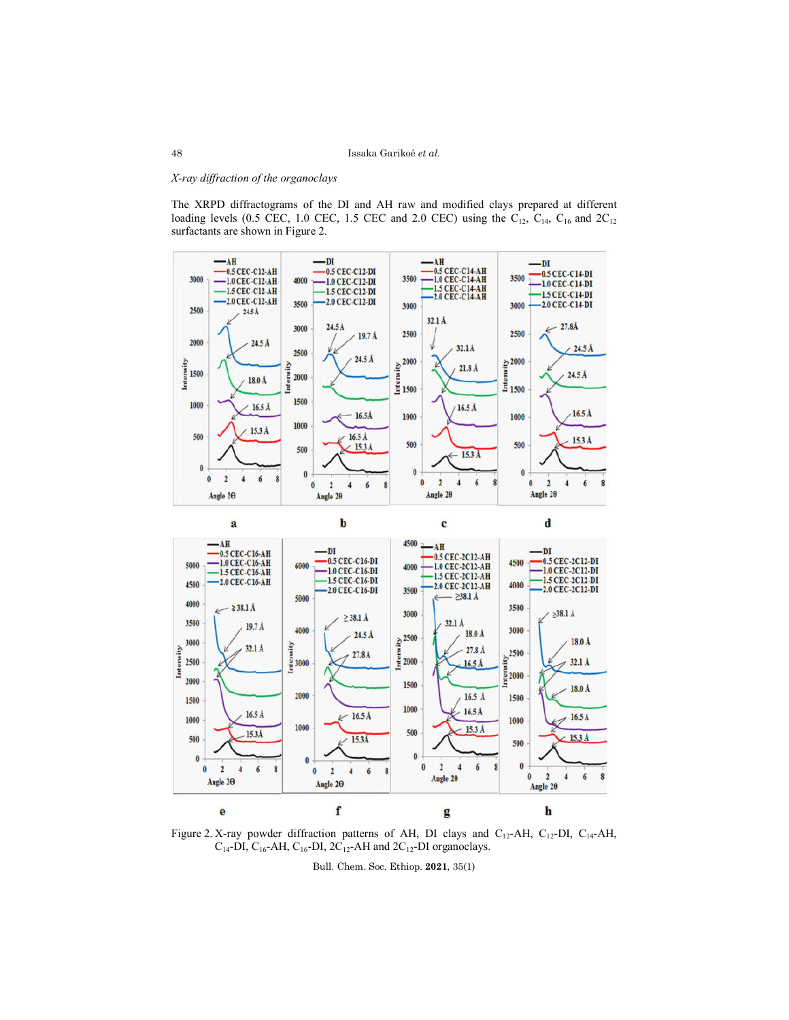# *X-ray diffraction of the organoclays*

The XRPD diffractograms of the DI and AH raw and modified clays prepared at different loading levels (0.5 CEC, 1.0 CEC, 1.5 CEC and 2.0 CEC) using the  $C_{12}$ ,  $C_{14}$ ,  $C_{16}$  and  $2C_{12}$ surfactants are shown in Figure 2.





Figure 2. X-ray powder diffraction patterns of AH, DI clays and C<sub>12</sub>-AH, C<sub>12</sub>-DI, C<sub>14</sub>-AH,  $C_{14}$ -DI,  $C_{16}$ -AH,  $C_{16}$ -DI,  $2C_{12}$ -AH and  $2C_{12}$ -DI organoclays.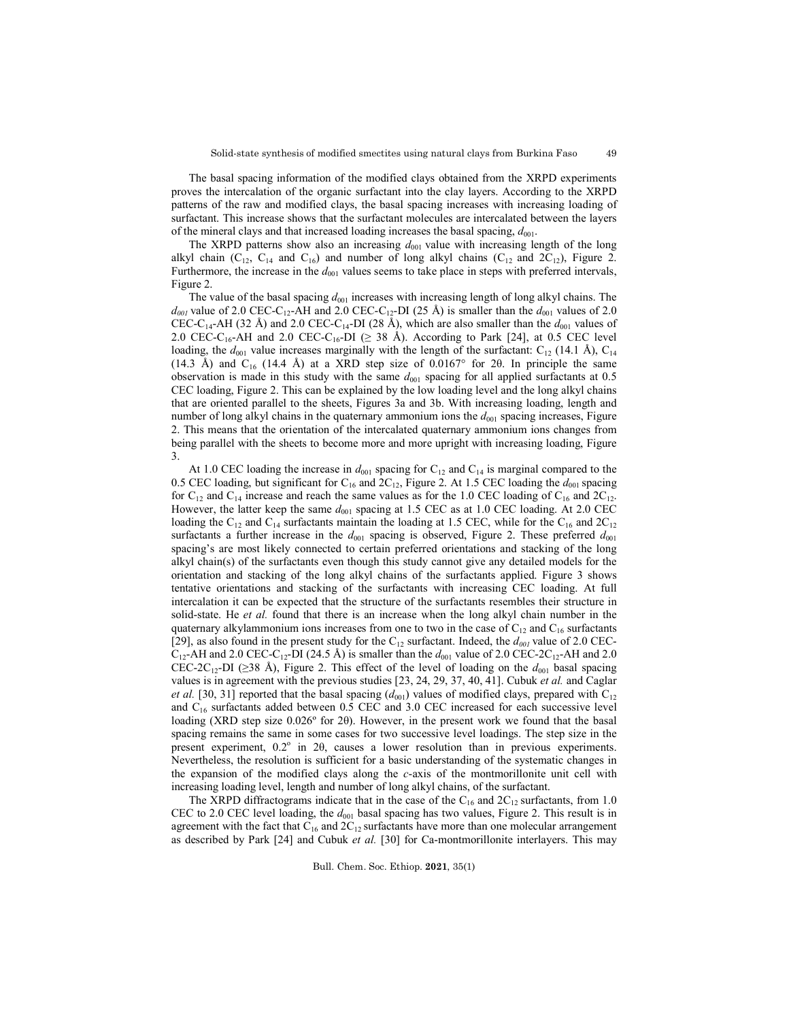49

The basal spacing information of the modified clays obtained from the XRPD experiments proves the intercalation of the organic surfactant into the clay layers. According to the XRPD patterns of the raw and modified clays, the basal spacing increases with increasing loading of surfactant. This increase shows that the surfactant molecules are intercalated between the layers of the mineral clays and that increased loading increases the basal spacing,  $d_{001}$ .

The XRPD patterns show also an increasing  $d_{001}$  value with increasing length of the long alkyl chain (C<sub>12</sub>, C<sub>14</sub> and C<sub>16</sub>) and number of long alkyl chains (C<sub>12</sub> and 2C<sub>12</sub>), Figure 2. Furthermore, the increase in the  $d_{001}$  values seems to take place in steps with preferred intervals, Figure 2.

The value of the basal spacing  $d_{001}$  increases with increasing length of long alkyl chains. The  $d_{001}$  value of 2.0 CEC-C<sub>12</sub>-AH and 2.0 CEC-C<sub>12</sub>-DI (25 Å) is smaller than the  $d_{001}$  values of 2.0 CEC-C<sub>14</sub>-AH (32 Å) and 2.0 CEC-C<sub>14</sub>-DI (28 Å), which are also smaller than the  $d_{001}$  values of 2.0 CEC-C<sub>16</sub>-AH and 2.0 CEC-C<sub>16</sub>-DI ( $\geq$  38 Å). According to Park [24], at 0.5 CEC level loading, the  $d_{001}$  value increases marginally with the length of the surfactant: C<sub>12</sub> (14.1 Å), C<sub>14</sub> (14.3 Å) and  $C_{16}$  (14.4 Å) at a XRD step size of 0.0167° for 2 $\theta$ . In principle the same observation is made in this study with the same  $d_{001}$  spacing for all applied surfactants at 0.5 CEC loading, Figure 2. This can be explained by the low loading level and the long alkyl chains that are oriented parallel to the sheets, Figures 3a and 3b. With increasing loading, length and number of long alkyl chains in the quaternary ammonium ions the  $d_{001}$  spacing increases, Figure 2. This means that the orientation of the intercalated quaternary ammonium ions changes from being parallel with the sheets to become more and more upright with increasing loading, Figure 3.

At 1.0 CEC loading the increase in  $d_{001}$  spacing for C<sub>12</sub> and C<sub>14</sub> is marginal compared to the 0.5 CEC loading, but significant for  $C_{16}$  and  $2C_{12}$ , Figure 2. At 1.5 CEC loading the  $d_{001}$  spacing for  $C_{12}$  and  $C_{14}$  increase and reach the same values as for the 1.0 CEC loading of  $C_{16}$  and  $2C_{12}$ . However, the latter keep the same  $d_{001}$  spacing at 1.5 CEC as at 1.0 CEC loading. At 2.0 CEC loading the C<sub>12</sub> and C<sub>14</sub> surfactants maintain the loading at 1.5 CEC, while for the C<sub>16</sub> and 2C<sub>12</sub> surfactants a further increase in the  $d_{001}$  spacing is observed, Figure 2. These preferred  $d_{001}$ spacing's are most likely connected to certain preferred orientations and stacking of the long alkyl chain(s) of the surfactants even though this study cannot give any detailed models for the orientation and stacking of the long alkyl chains of the surfactants applied. Figure 3 shows tentative orientations and stacking of the surfactants with increasing CEC loading. At full intercalation it can be expected that the structure of the surfactants resembles their structure in solid-state. He *et al.* found that there is an increase when the long alkyl chain number in the quaternary alkylammonium ions increases from one to two in the case of  $C_{12}$  and  $C_{16}$  surfactants [29], as also found in the present study for the  $C_{12}$  surfactant. Indeed, the  $d_{001}$  value of 2.0 CEC- $C_{12}$ -AH and 2.0 CEC-C<sub>12</sub>-DI (24.5 Å) is smaller than the  $d_{001}$  value of 2.0 CEC-2C<sub>12</sub>-AH and 2.0 CEC-2C<sub>12</sub>-DI (≥38 Å), Figure 2. This effect of the level of loading on the  $d_{001}$  basal spacing values is in agreement with the previous studies [23, 24, 29, 37, 40, 41]. Cubuk *et al.* and Caglar *et al.* [30, 31] reported that the basal spacing  $(d_{001})$  values of modified clays, prepared with C<sub>12</sub> and  $C_{16}$  surfactants added between 0.5 CEC and 3.0 CEC increased for each successive level loading (XRD step size 0.026º for 2θ). However, in the present work we found that the basal spacing remains the same in some cases for two successive level loadings. The step size in the present experiment,  $0.2^{\circ}$  in  $2\theta$ , causes a lower resolution than in previous experiments. Nevertheless, the resolution is sufficient for a basic understanding of the systematic changes in the expansion of the modified clays along the *c*-axis of the montmorillonite unit cell with increasing loading level, length and number of long alkyl chains, of the surfactant.

The XRPD diffractograms indicate that in the case of the  $C_{16}$  and  $2C_{12}$  surfactants, from 1.0 CEC to 2.0 CEC level loading, the  $d_{001}$  basal spacing has two values, Figure 2. This result is in agreement with the fact that  $C_{16}$  and  $2C_{12}$  surfactants have more than one molecular arrangement as described by Park [24] and Cubuk *et al.* [30] for Ca-montmorillonite interlayers. This may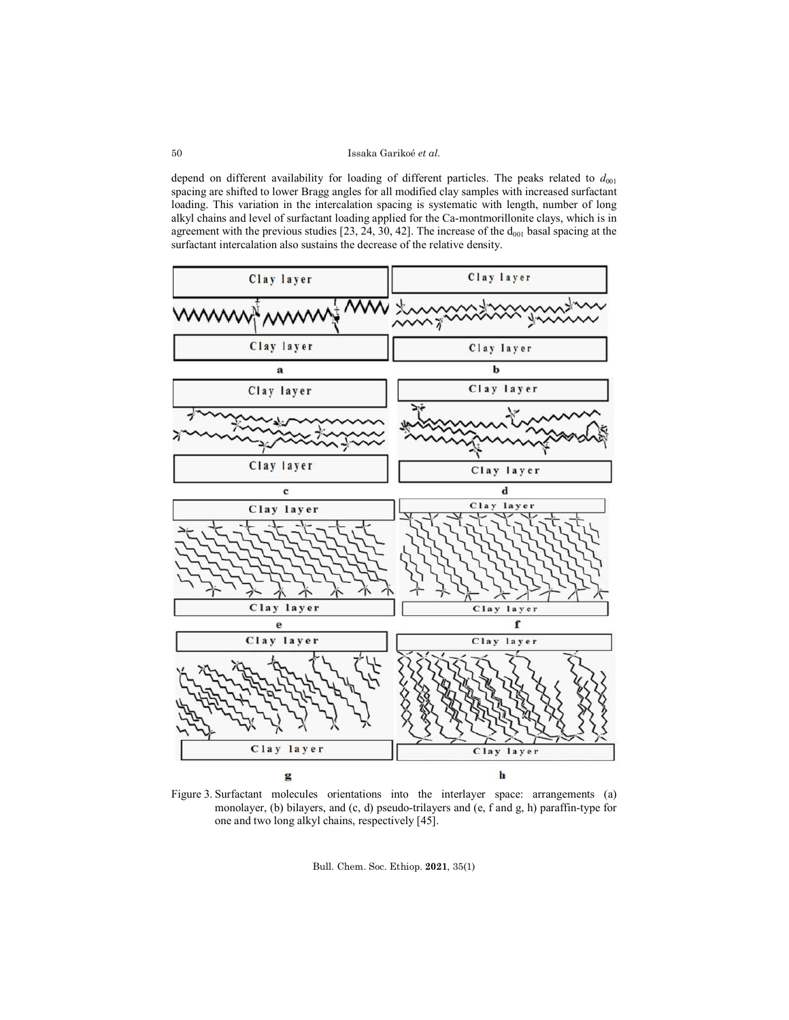depend on different availability for loading of different particles. The peaks related to  $d_{001}$ spacing are shifted to lower Bragg angles for all modified clay samples with increased surfactant loading. This variation in the intercalation spacing is systematic with length, number of long alkyl chains and level of surfactant loading applied for the Ca-montmorillonite clays, which is in agreement with the previous studies [23, 24, 30, 42]. The increase of the  $d_{001}$  basal spacing at the surfactant intercalation also sustains the decrease of the relative density.



Figure 3. Surfactant molecules orientations into the interlayer space: arrangements (a) monolayer, (b) bilayers, and (c, d) pseudo-trilayers and (e, f and g, h) paraffin-type for one and two long alkyl chains, respectively [45].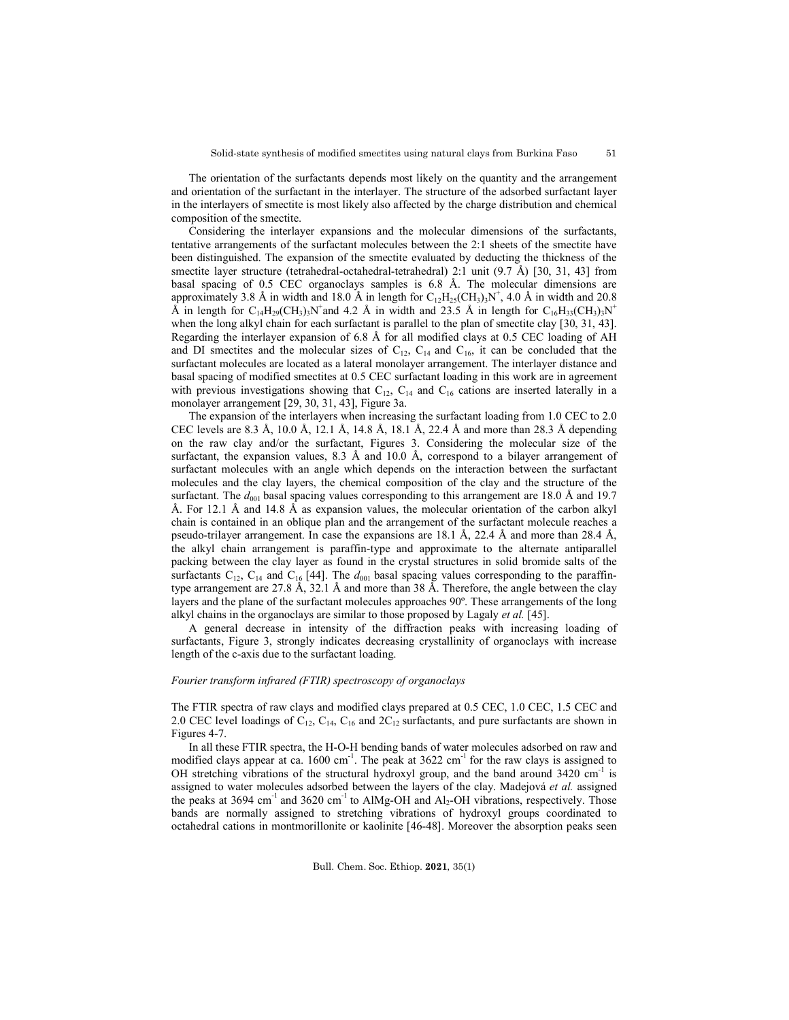The orientation of the surfactants depends most likely on the quantity and the arrangement and orientation of the surfactant in the interlayer. The structure of the adsorbed surfactant layer in the interlayers of smectite is most likely also affected by the charge distribution and chemical composition of the smectite.

Considering the interlayer expansions and the molecular dimensions of the surfactants, tentative arrangements of the surfactant molecules between the 2:1 sheets of the smectite have been distinguished. The expansion of the smectite evaluated by deducting the thickness of the smectite layer structure (tetrahedral-octahedral-tetrahedral) 2:1 unit (9.7 Å) [30, 31, 43] from basal spacing of 0.5 CEC organoclays samples is 6.8 Å. The molecular dimensions are approximately 3.8 Å in width and 18.0 Å in length for  $C_{12}H_{25}(CH_3)_3N^+$ , 4.0 Å in width and 20.8  $\hat{A}$  in length for C<sub>14</sub>H<sub>29</sub>(CH<sub>3</sub>)<sub>3</sub>N<sup>+</sup> and 4.2 Å in width and 23.5 Å in length for C<sub>16</sub>H<sub>33</sub>(CH<sub>3</sub>)<sub>3</sub>N<sup>+</sup> when the long alkyl chain for each surfactant is parallel to the plan of smectite clay [30, 31, 43]. Regarding the interlayer expansion of 6.8 Å for all modified clays at 0.5 CEC loading of AH and DI smectites and the molecular sizes of  $C_{12}$ ,  $C_{14}$  and  $C_{16}$ , it can be concluded that the surfactant molecules are located as a lateral monolayer arrangement. The interlayer distance and basal spacing of modified smectites at 0.5 CEC surfactant loading in this work are in agreement with previous investigations showing that  $C_{12}$ ,  $C_{14}$  and  $C_{16}$  cations are inserted laterally in a monolayer arrangement [29, 30, 31, 43], Figure 3a.

The expansion of the interlayers when increasing the surfactant loading from 1.0 CEC to 2.0 CEC levels are 8.3 Å, 10.0 Å, 12.1 Å, 14.8 Å, 18.1 Å, 22.4 Å and more than 28.3 Å depending on the raw clay and/or the surfactant, Figures 3. Considering the molecular size of the surfactant, the expansion values,  $8.3 \text{ Å}$  and  $10.0 \text{ Å}$ , correspond to a bilayer arrangement of surfactant molecules with an angle which depends on the interaction between the surfactant molecules and the clay layers, the chemical composition of the clay and the structure of the surfactant. The  $d_{001}$  basal spacing values corresponding to this arrangement are 18.0 Å and 19.7 Å. For 12.1 Å and 14.8 Å as expansion values, the molecular orientation of the carbon alkyl chain is contained in an oblique plan and the arrangement of the surfactant molecule reaches a pseudo-trilayer arrangement. In case the expansions are 18.1 Å, 22.4 Å and more than 28.4 Å, the alkyl chain arrangement is paraffin-type and approximate to the alternate antiparallel packing between the clay layer as found in the crystal structures in solid bromide salts of the surfactants  $C_{12}$ ,  $C_{14}$  and  $C_{16}$  [44]. The  $d_{001}$  basal spacing values corresponding to the paraffintype arrangement are 27.8 Å, 32.1 Å and more than 38 Å. Therefore, the angle between the clay layers and the plane of the surfactant molecules approaches 90º. These arrangements of the long alkyl chains in the organoclays are similar to those proposed by Lagaly *et al.* [45].

A general decrease in intensity of the diffraction peaks with increasing loading of surfactants, Figure 3, strongly indicates decreasing crystallinity of organoclays with increase length of the c-axis due to the surfactant loading.

## *Fourier transform infrared (FTIR) spectroscopy of organoclays*

The FTIR spectra of raw clays and modified clays prepared at 0.5 CEC, 1.0 CEC, 1.5 CEC and 2.0 CEC level loadings of  $C_{12}$ ,  $C_{14}$ ,  $C_{16}$  and  $2C_{12}$  surfactants, and pure surfactants are shown in Figures 4-7.

In all these FTIR spectra, the H-O-H bending bands of water molecules adsorbed on raw and modified clays appear at ca.  $1600 \text{ cm}^{-1}$ . The peak at  $3622 \text{ cm}^{-1}$  for the raw clays is assigned to OH stretching vibrations of the structural hydroxyl group, and the band around  $3420 \text{ cm}^{-1}$  is assigned to water molecules adsorbed between the layers of the clay. Madejová *et al.* assigned the peaks at 3694 cm<sup>-1</sup> and 3620 cm<sup>-1</sup> to AlMg-OH and Al<sub>2</sub>-OH vibrations, respectively. Those bands are normally assigned to stretching vibrations of hydroxyl groups coordinated to octahedral cations in montmorillonite or kaolinite [46-48]. Moreover the absorption peaks seen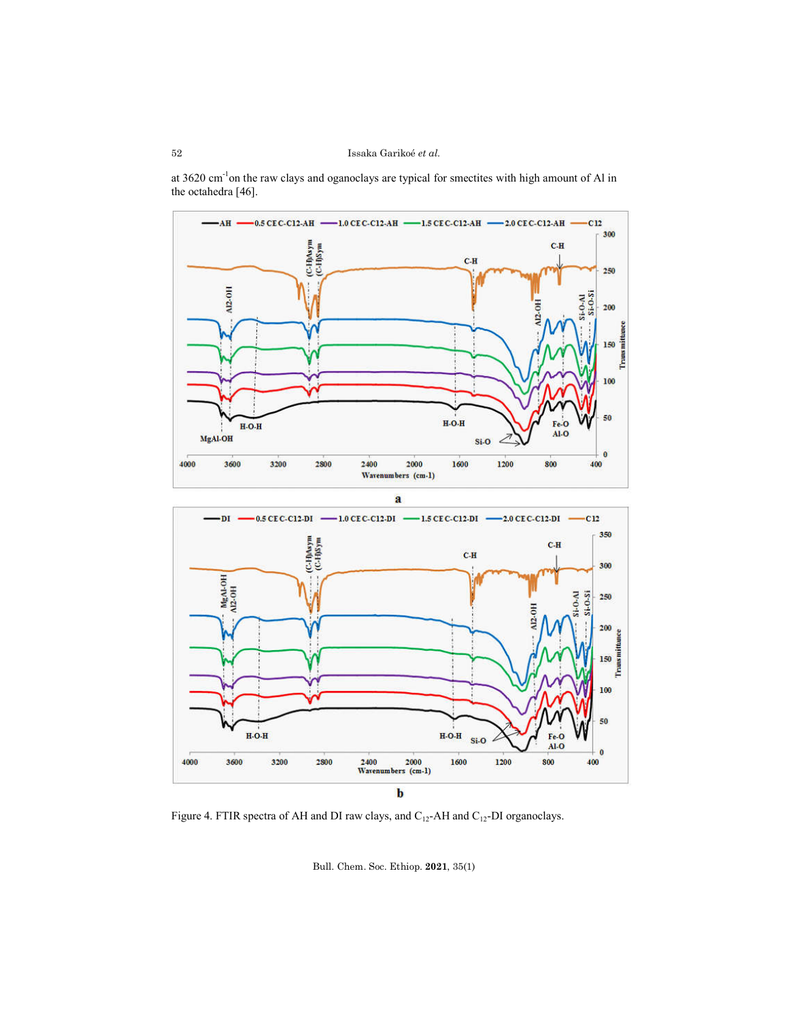

at 3620 cm<sup>-1</sup>on the raw clays and oganoclays are typical for smectites with high amount of Al in the octahedra [46].

Figure 4. FTIR spectra of AH and DI raw clays, and  $\rm C_{12}$  -AH and  $\rm C_{12}$  -DI organoclays.

Bull. Chem. Soc. Ethiop. **2021**, 35(1)

 $2000$ <br>Wavenumbers (cm-1)

 $\mathbf b$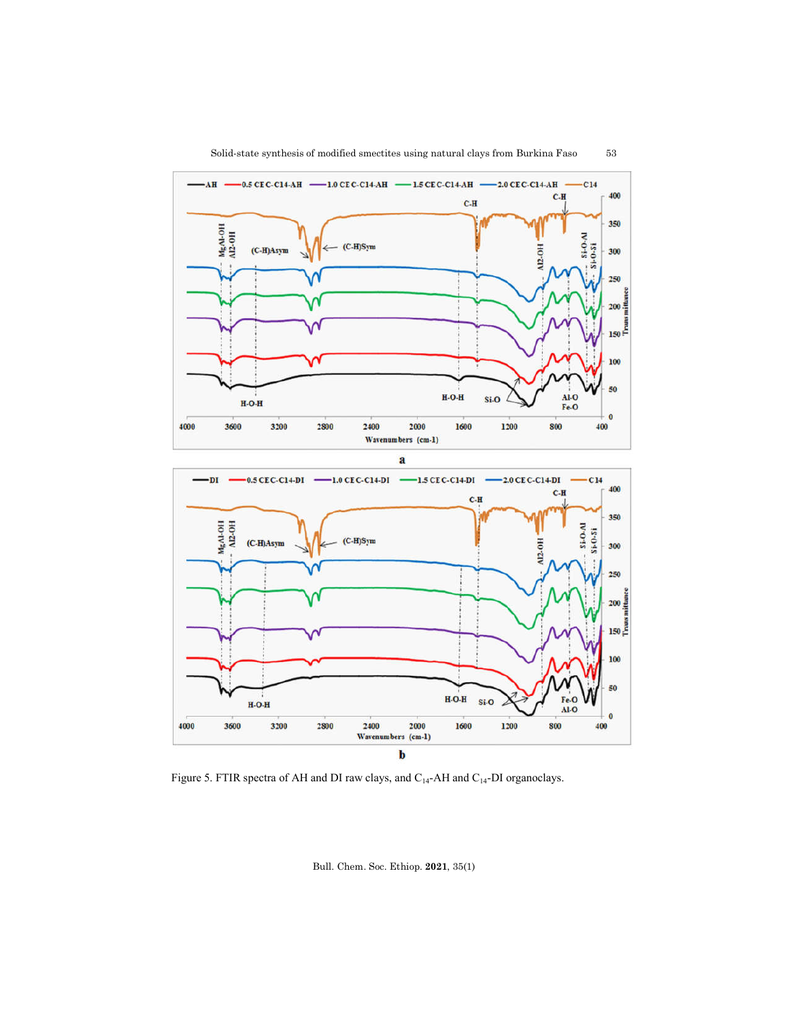

2000

Wavenumbers (cm-1)

2400

 $H-O-H$ 

3600

3200

2800

4000

 $H-O-H$ 

1600

Si-O

1200

Al-O

Fe-O

800

 $\ddot{\mathbf{0}}$ 

400



Figure 5. FTIR spectra of AH and DI raw clays, and  $\rm{C_{14}\text{-}AH}$  and  $\rm{C_{14}\text{-}DI}$  organoclays.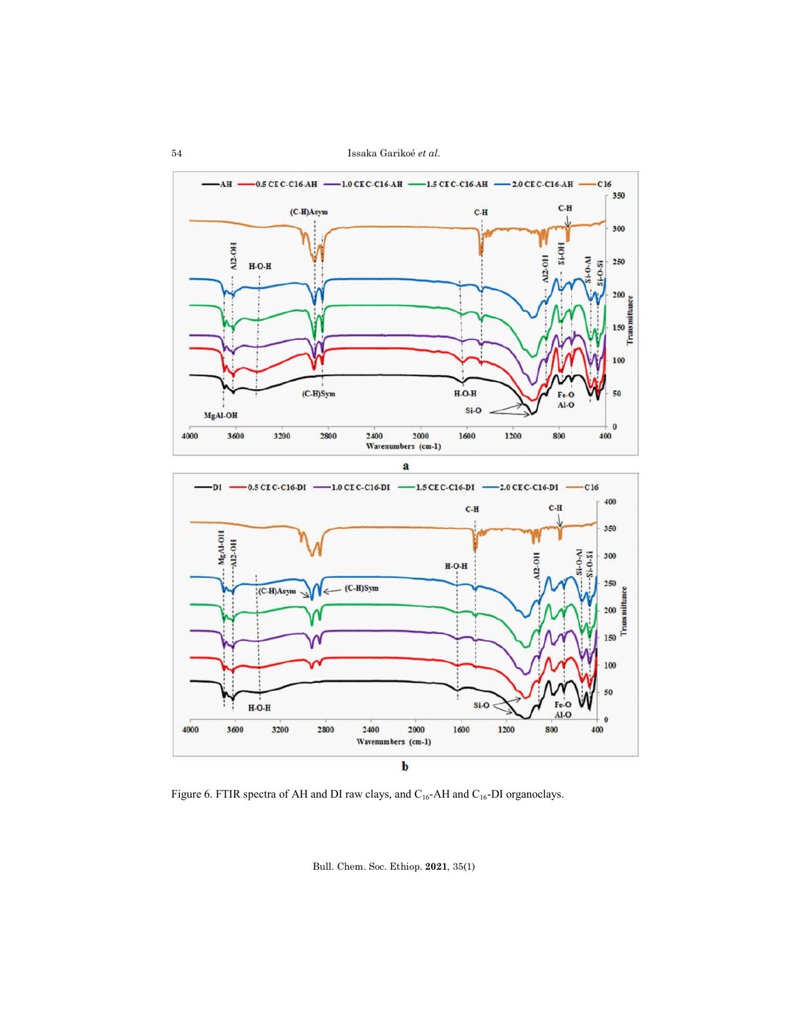



Figure 6. FTIR spectra of AH and DI raw clays, and  $C_{16}$ -AH and  $C_{16}$ -DI organoclays.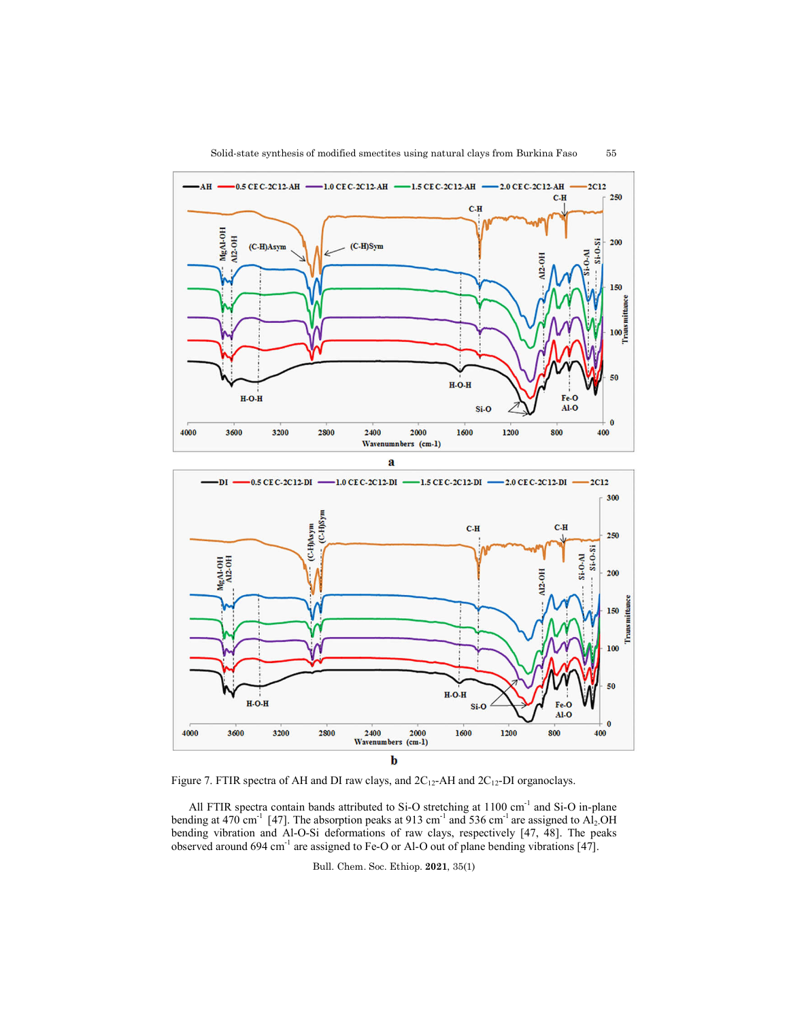



Figure 7. FTIR spectra of AH and DI raw clays, and  $2C_{12}$ -AH and  $2C_{12}$ -DI organoclays.

All FTIR spectra contain bands attributed to Si-O stretching at 1100 cm<sup>-1</sup> and Si-O in-plane bending at 470 cm<sup>-1</sup> [47]. The absorption peaks at 913 cm<sup>-1</sup> and 536 cm<sup>-1</sup> are assigned to Al<sub>2</sub>.OH bending vibration and Al-O-Si deformations of raw clays, respectively [47, 48]. The peaks observed around 694 cm<sup>-1</sup> are assigned to Fe-O or Al-O out of plane bending vibrations [47].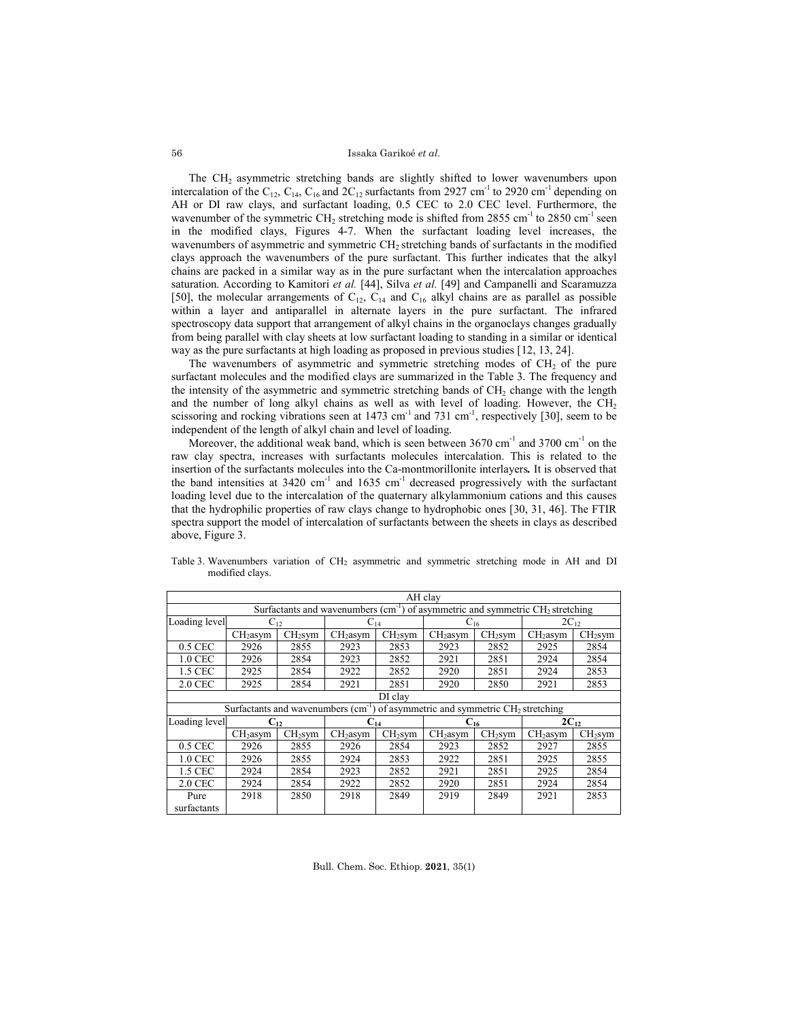#### Issaka Garikoé *et al*.

The CH2 asymmetric stretching bands are slightly shifted to lower wavenumbers upon intercalation of the C<sub>12</sub>, C<sub>14</sub>, C<sub>16</sub> and 2C<sub>12</sub> surfactants from 2927 cm<sup>-1</sup> to 2920 cm<sup>-1</sup> depending on AH or DI raw clays, and surfactant loading, 0.5 CEC to 2.0 CEC level. Furthermore, the wavenumber of the symmetric CH<sub>2</sub> stretching mode is shifted from 2855 cm<sup>-1</sup> to 2850 cm<sup>-1</sup> seen in the modified clays, Figures 4-7. When the surfactant loading level increases, the wavenumbers of asymmetric and symmetric CH<sub>2</sub> stretching bands of surfactants in the modified clays approach the wavenumbers of the pure surfactant. This further indicates that the alkyl chains are packed in a similar way as in the pure surfactant when the intercalation approaches saturation. According to Kamitori *et al.* [44], Silva *et al.* [49] and Campanelli and Scaramuzza [50], the molecular arrangements of  $C_{12}$ ,  $C_{14}$  and  $C_{16}$  alkyl chains are as parallel as possible within a layer and antiparallel in alternate layers in the pure surfactant. The infrared spectroscopy data support that arrangement of alkyl chains in the organoclays changes gradually from being parallel with clay sheets at low surfactant loading to standing in a similar or identical way as the pure surfactants at high loading as proposed in previous studies [12, 13, 24].

The wavenumbers of asymmetric and symmetric stretching modes of  $CH<sub>2</sub>$  of the pure surfactant molecules and the modified clays are summarized in the Table 3. The frequency and the intensity of the asymmetric and symmetric stretching bands of  $CH<sub>2</sub>$  change with the length and the number of long alkyl chains as well as with level of loading. However, the  $CH<sub>2</sub>$ scissoring and rocking vibrations seen at 1473 cm<sup>-1</sup> and 731 cm<sup>-1</sup>, respectively [30], seem to be independent of the length of alkyl chain and level of loading.

Moreover, the additional weak band, which is seen between  $3670 \text{ cm}^{-1}$  and  $3700 \text{ cm}^{-1}$  on the raw clay spectra, increases with surfactants molecules intercalation. This is related to the insertion of the surfactants molecules into the Ca-montmorillonite interlayers*.* It is observed that the band intensities at  $3420 \text{ cm}^{-1}$  and  $1635 \text{ cm}^{-1}$  decreased progressively with the surfactant loading level due to the intercalation of the quaternary alkylammonium cations and this causes that the hydrophilic properties of raw clays change to hydrophobic ones [30, 31, 46]. The FTIR spectra support the model of intercalation of surfactants between the sheets in clays as described above, Figure 3.

| AH clay                                                                                      |                                                                                             |                     |                      |                     |                      |           |                      |                     |  |
|----------------------------------------------------------------------------------------------|---------------------------------------------------------------------------------------------|---------------------|----------------------|---------------------|----------------------|-----------|----------------------|---------------------|--|
| Surfactants and wavenumbers (cm <sup>-1</sup> ) of asymmetric and symmetric $CH2$ stretching |                                                                                             |                     |                      |                     |                      |           |                      |                     |  |
| Loading level                                                                                | $\mathrm{C}_{12}$                                                                           |                     | $C_{14}$             |                     | $C_{16}$             |           | $2C_{12}$            |                     |  |
|                                                                                              | CH <sub>2</sub> asym                                                                        | CH <sub>2</sub> sym | CH <sub>2</sub> asym | CH <sub>2</sub> sym | CH <sub>2</sub> asym | $CH2$ sym | CH <sub>2</sub> asym | CH <sub>2</sub> sym |  |
| 0.5 CEC                                                                                      | 2926                                                                                        | 2855                | 2923                 | 2853                | 2923                 | 2852      | 2925                 | 2854                |  |
| 1.0 CEC                                                                                      | 2926                                                                                        | 2854                | 2923                 | 2852                | 2921                 | 2851      | 2924                 | 2854                |  |
| 1.5 CEC                                                                                      | 2925                                                                                        | 2854                | 2922                 | 2852                | 2920                 | 2851      | 2924                 | 2853                |  |
| 2.0 CEC                                                                                      | 2925                                                                                        | 2854                | 2921                 | 2851                | 2920                 | 2850      | 2921                 | 2853                |  |
|                                                                                              | DI clay                                                                                     |                     |                      |                     |                      |           |                      |                     |  |
|                                                                                              | Surfactants and wavenumbers $(cm-1)$ of asymmetric and symmetric CH <sub>2</sub> stretching |                     |                      |                     |                      |           |                      |                     |  |
| Loading level                                                                                | $C_{12}$                                                                                    |                     | $C_{14}$             |                     | $C_{16}$             |           | $2C_{12}$            |                     |  |
|                                                                                              | CH <sub>2</sub> asym                                                                        | CH <sub>2</sub> sym | CH <sub>2</sub> asym | CH <sub>2</sub> sym | CH <sub>2</sub> asym | $CH2$ sym | CH <sub>2</sub> asym | CH <sub>2</sub> sym |  |
| $0.5$ CEC                                                                                    | 2926                                                                                        | 2855                | 2926                 | 2854                | 2923                 | 2852      | 2927                 | 2855                |  |
| 1.0 CEC                                                                                      | 2926                                                                                        | 2855                | 2924                 | 2853                | 2922                 | 2851      | 2925                 | 2855                |  |
| 1.5 CEC                                                                                      | 2924                                                                                        | 2854                | 2923                 | 2852                | 2921                 | 2851      | 2925                 | 2854                |  |
| 2.0 CEC                                                                                      | 2924                                                                                        | 2854                | 2922                 | 2852                | 2920                 | 2851      | 2924                 | 2854                |  |
| Pure                                                                                         | 2918                                                                                        | 2850                | 2918                 | 2849                | 2919                 | 2849      | 2921                 | 2853                |  |
| surfactants                                                                                  |                                                                                             |                     |                      |                     |                      |           |                      |                     |  |

Table 3. Wavenumbers variation of CH2 asymmetric and symmetric stretching mode in AH and DI modified clays.

Bull. Chem. Soc. Ethiop. **2021**, 35(1)

56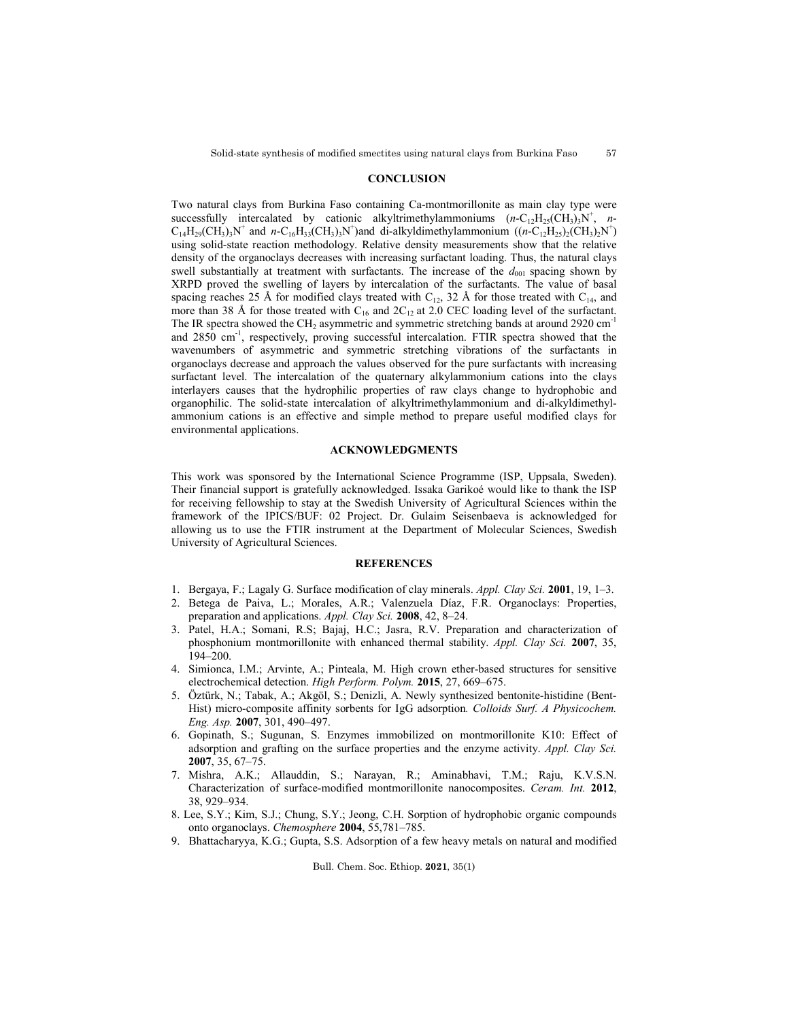#### **CONCLUSION**

Two natural clays from Burkina Faso containing Ca-montmorillonite as main clay type were successfully intercalated by cationic alkyltrimethylammoniums  $(n-C_{12}H_{25}(CH_3)_3N^+$ , *n*- $C_{14}H_{29}(CH_3)_3N^+$  and  $n-C_{16}H_{33}(CH_3)_3N^+$ )and di-alkyldimethylammonium  $((n-C_{12}H_{25})_2(CH_3)_2N^+)$ using solid-state reaction methodology. Relative density measurements show that the relative density of the organoclays decreases with increasing surfactant loading. Thus, the natural clays swell substantially at treatment with surfactants. The increase of the  $d_{001}$  spacing shown by XRPD proved the swelling of layers by intercalation of the surfactants. The value of basal spacing reaches 25 Å for modified clays treated with  $C_{12}$ , 32 Å for those treated with  $C_{14}$ , and more than 38 Å for those treated with  $C_{16}$  and  $2C_{12}$  at 2.0 CEC loading level of the surfactant. The IR spectra showed the CH<sub>2</sub> asymmetric and symmetric stretching bands at around 2920 cm<sup>-1</sup> and 2850 cm<sup>-1</sup>, respectively, proving successful intercalation. FTIR spectra showed that the wavenumbers of asymmetric and symmetric stretching vibrations of the surfactants in organoclays decrease and approach the values observed for the pure surfactants with increasing surfactant level. The intercalation of the quaternary alkylammonium cations into the clays interlayers causes that the hydrophilic properties of raw clays change to hydrophobic and organophilic. The solid-state intercalation of alkyltrimethylammonium and di-alkyldimethylammonium cations is an effective and simple method to prepare useful modified clays for environmental applications.

# **ACKNOWLEDGMENTS**

This work was sponsored by the International Science Programme (ISP, Uppsala, Sweden). Their financial support is gratefully acknowledged. Issaka Garikoé would like to thank the ISP for receiving fellowship to stay at the Swedish University of Agricultural Sciences within the framework of the IPICS/BUF: 02 Project. Dr. Gulaim Seisenbaeva is acknowledged for allowing us to use the FTIR instrument at the Department of Molecular Sciences, Swedish University of Agricultural Sciences.

### **REFERENCES**

- 1. Bergaya, F.; Lagaly G. Surface modification of clay minerals. *Appl. Clay Sci.* **2001**, 19, 1–3.
- 2. Betega de Paiva, L.; Morales, A.R.; Valenzuela Díaz, F.R. Organoclays: Properties, preparation and applications. *Appl. Clay Sci.* **2008**, 42, 8–24.
- 3. Patel, H.A.; Somani, R.S; Bajaj, H.C.; Jasra, R.V. Preparation and characterization of phosphonium montmorillonite with enhanced thermal stability. *Appl. Clay Sci.* **2007**, 35, 194–200.
- 4. Simionca, I.M.; Arvinte, A.; Pinteala, M. High crown ether-based structures for sensitive electrochemical detection. *High Perform. Polym.* **2015**, 27, 669–675.
- 5. Öztürk, N.; Tabak, A.; Akgöl, S.; Denizli, A. Newly synthesized bentonite-histidine (Bent-Hist) micro-composite affinity sorbents for IgG adsorption*. Colloids Surf. A Physicochem. Eng. Asp.* **2007**, 301, 490–497.
- 6. Gopinath, S.; Sugunan, S. Enzymes immobilized on montmorillonite K10: Effect of adsorption and grafting on the surface properties and the enzyme activity. *Appl. Clay Sci.* **2007**, 35, 67–75.
- 7. Mishra, A.K.; Allauddin, S.; Narayan, R.; Aminabhavi, T.M.; Raju, K.V.S.N. Characterization of surface-modified montmorillonite nanocomposites. *Ceram. Int.* **2012**, 38, 929–934.
- 8. Lee, S.Y.; Kim, S.J.; Chung, S.Y.; Jeong, C.H. Sorption of hydrophobic organic compounds onto organoclays. *Chemosphere* **2004**, 55,781–785.
- 9. Bhattacharyya, K.G.; Gupta, S.S. Adsorption of a few heavy metals on natural and modified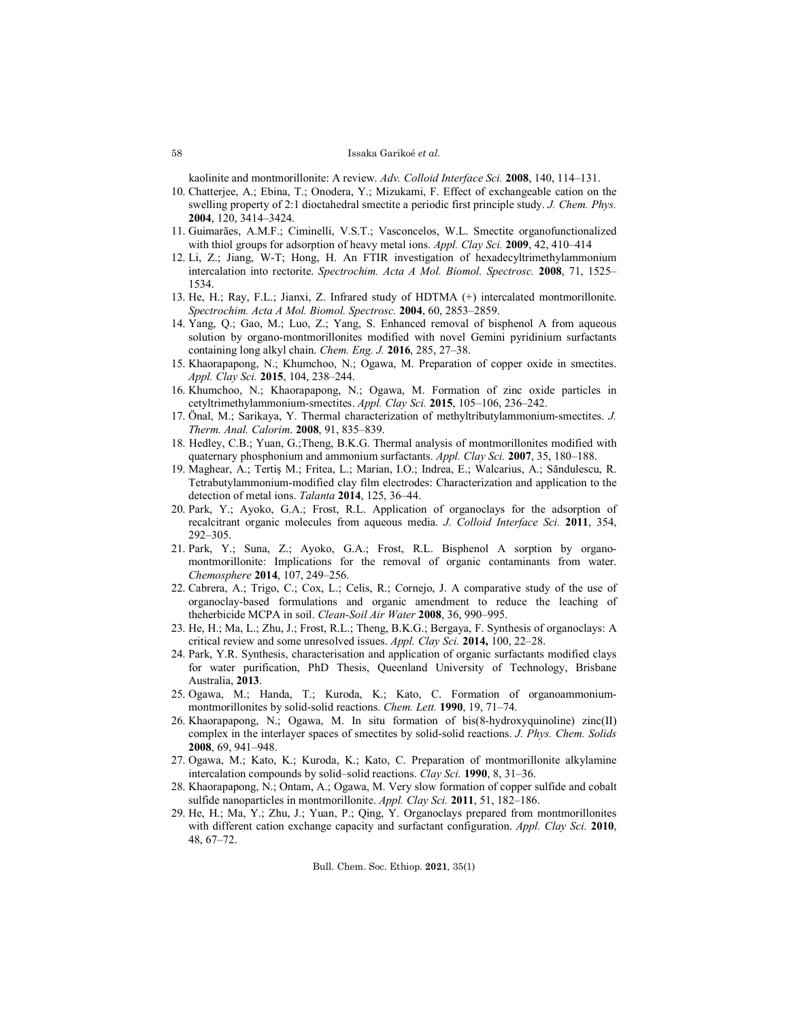#### Issaka Garikoé *et al*.

kaolinite and montmorillonite: A review. *Adv. Colloid Interface Sci.* **2008**, 140, 114–131.

- 10. Chatterjee, A.; Ebina, T.; Onodera, Y.; Mizukami, F. Effect of exchangeable cation on the swelling property of 2:1 dioctahedral smectite a periodic first principle study. *J. Chem. Phys.* **2004**, 120, 3414–3424.
- 11. Guimarães, A.M.F.; Ciminelli, V.S.T.; Vasconcelos, W.L. Smectite organofunctionalized with thiol groups for adsorption of heavy metal ions. *Appl. Clay Sci.* **2009**, 42, 410–414
- 12. Li, Z.; Jiang, W-T; Hong, H. An FTIR investigation of hexadecyltrimethylammonium intercalation into rectorite. *Spectrochim. Acta A Mol. Biomol. Spectrosc.* **2008**, 71, 1525– 1534.
- 13. He, H.; Ray, F.L.; Jianxi, Z. Infrared study of HDTMA (+) intercalated montmorillonite. *Spectrochim. Acta A Mol. Biomol. Spectrosc.* **2004**, 60, 2853–2859.
- 14. Yang, Q.; Gao, M.; Luo, Z.; Yang, S. Enhanced removal of bisphenol A from aqueous solution by organo-montmorillonites modified with novel Gemini pyridinium surfactants containing long alkyl chain. *Chem. Eng. J.* **2016**, 285, 27–38.
- 15. Khaorapapong, N.; Khumchoo, N.; Ogawa, M. Preparation of copper oxide in smectites. *Appl. Clay Sci.* **2015**, 104, 238–244.
- 16. Khumchoo, N.; Khaorapapong, N.; Ogawa, M. Formation of zinc oxide particles in cetyltrimethylammonium-smectites. *Appl. Clay Sci.* **2015**, 105–106, 236–242.
- 17. Önal, M.; Sarikaya, Y. Thermal characterization of methyltributylammonium-smectites. *J. Therm. Anal. Calorim*. **2008**, 91, 835–839.
- 18. Hedley, C.B.; Yuan, G.;Theng, B.K.G. Thermal analysis of montmorillonites modified with quaternary phosphonium and ammonium surfactants. *Appl. Clay Sci.* **2007**, 35, 180–188.
- 19. Maghear, A.; Tertiş M.; Fritea, L.; Marian, I.O.; Indrea, E.; Walcarius, A.; Săndulescu, R. Tetrabutylammonium-modified clay film electrodes: Characterization and application to the detection of metal ions. *Talanta* **2014**, 125, 36–44.
- 20. Park, Y.; Ayoko, G.A.; Frost, R.L. Application of organoclays for the adsorption of recalcitrant organic molecules from aqueous media. *J. Colloid Interface Sci.* **2011**, 354, 292–305.
- 21. Park, Y.; Suna, Z.; Ayoko, G.A.; Frost, R.L. Bisphenol A sorption by organomontmorillonite: Implications for the removal of organic contaminants from water. *Chemosphere* **2014**, 107, 249–256.
- 22. Cabrera, A.; Trigo, C.; Cox, L.; Celis, R.; Cornejo, J. A comparative study of the use of organoclay-based formulations and organic amendment to reduce the leaching of theherbicide MCPA in soil. *Clean-Soil Air Water* **2008**, 36, 990–995.
- 23. He, H.; Ma, L.; Zhu, J.; Frost, R.L.; Theng, B.K.G.; Bergaya, F. Synthesis of organoclays: A critical review and some unresolved issues. *Appl. Clay Sci.* **2014,** 100, 22–28.
- 24. Park, Y.R. Synthesis, characterisation and application of organic surfactants modified clays for water purification, PhD Thesis, Queenland University of Technology, Brisbane Australia, **2013**.
- 25. Ogawa, M.; Handa, T.; Kuroda, K.; Kato, C. Formation of organoammoniummontmorillonites by solid-solid reactions. *Chem. Lett.* **1990**, 19, 71–74.
- 26. Khaorapapong, N.; Ogawa, M. In situ formation of bis(8-hydroxyquinoline) zinc(II) complex in the interlayer spaces of smectites by solid-solid reactions. *J. Phys. Chem. Solids* **2008**, 69, 941–948.
- 27. Ogawa, M.; Kato, K.; Kuroda, K.; Kato, C. Preparation of montmorillonite alkylamine intercalation compounds by solid–solid reactions. *Clay Sci.* **1990**, 8, 31–36.
- 28. Khaorapapong, N.; Ontam, A.; Ogawa, M. Very slow formation of copper sulfide and cobalt sulfide nanoparticles in montmorillonite. *Appl. Clay Sci.* **2011**, 51, 182–186.
- 29. He, H.; Ma, Y.; Zhu, J.; Yuan, P.; Qing, Y. Organoclays prepared from montmorillonites with different cation exchange capacity and surfactant configuration. *Appl. Clay Sci.* **2010**, 48, 67–72.